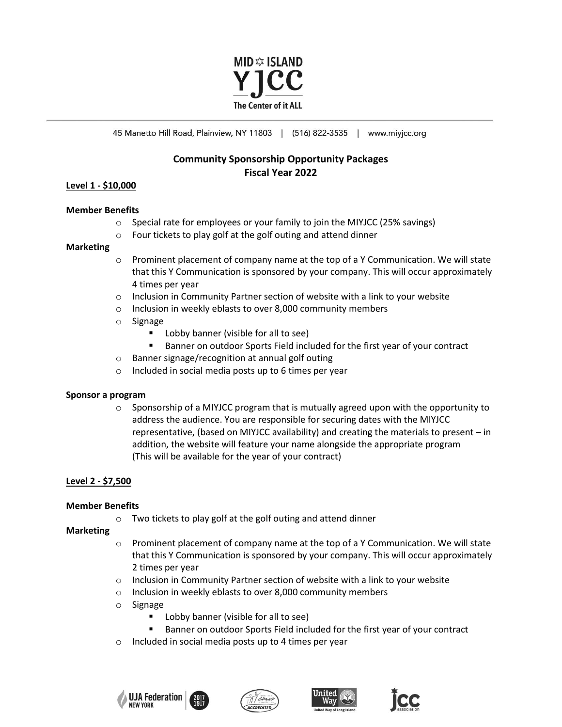

45 Manetto Hill Road, Plainview, NY 11803 | (516) 822-3535 | www.miyicc.org

# **Community Sponsorship Opportunity Packages Fiscal Year 2022**

# **Level 1 - \$10,000**

## **Member Benefits**

- $\circ$  Special rate for employees or your family to join the MIYJCC (25% savings)
- o Four tickets to play golf at the golf outing and attend dinner

# **Marketing**

- $\circ$  Prominent placement of company name at the top of a Y Communication. We will state that this Y Communication is sponsored by your company. This will occur approximately 4 times per year
- $\circ$  Inclusion in Community Partner section of website with a link to your website
- o Inclusion in weekly eblasts to over 8,000 community members
- o Signage
	- **Lobby banner (visible for all to see)**
	- Banner on outdoor Sports Field included for the first year of your contract
- o Banner signage/recognition at annual golf outing
- o Included in social media posts up to 6 times per year

# **Sponsor a program**

 $\circ$  Sponsorship of a MIYJCC program that is mutually agreed upon with the opportunity to address the audience. You are responsible for securing dates with the MIYJCC representative, (based on MIYJCC availability) and creating the materials to present – in addition, the website will feature your name alongside the appropriate program (This will be available for the year of your contract)

# **Level 2 - \$7,500**

# **Member Benefits**

 $\circ$  Two tickets to play golf at the golf outing and attend dinner

# **Marketing**

- $\circ$  Prominent placement of company name at the top of a Y Communication. We will state that this Y Communication is sponsored by your company. This will occur approximately 2 times per year
- o Inclusion in Community Partner section of website with a link to your website
- o Inclusion in weekly eblasts to over 8,000 community members
- o Signage
	- **Lobby banner (visible for all to see)**
	- Banner on outdoor Sports Field included for the first year of your contract
- o Included in social media posts up to 4 times per year







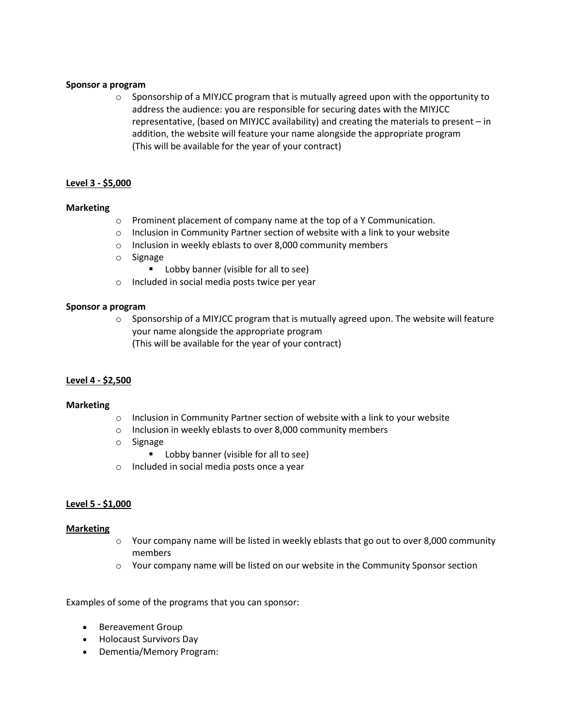## **Sponsor a program**

 $\circ$  Sponsorship of a MIYJCC program that is mutually agreed upon with the opportunity to address the audience: you are responsible for securing dates with the MIYJCC representative, (based on MIYJCC availability) and creating the materials to present – in addition, the website will feature your name alongside the appropriate program (This will be available for the year of your contract)

# **Level 3 - \$5,000**

## **Marketing**

- o Prominent placement of company name at the top of a Y Communication.
- $\circ$  Inclusion in Community Partner section of website with a link to your website
- o Inclusion in weekly eblasts to over 8,000 community members
- o Signage
	- Lobby banner (visible for all to see)
- o Included in social media posts twice per year

#### **Sponsor a program**

 $\circ$  Sponsorship of a MIYJCC program that is mutually agreed upon. The website will feature your name alongside the appropriate program (This will be available for the year of your contract)

# **Level 4 - \$2,500**

#### **Marketing**

- o Inclusion in Community Partner section of website with a link to your website
- o Inclusion in weekly eblasts to over 8,000 community members
- o Signage
	- **Lobby banner (visible for all to see)**
- o Included in social media posts once a year

# **Level 5 - \$1,000**

#### **Marketing**

- $\circ$  Your company name will be listed in weekly eblasts that go out to over 8,000 community members
- o Your company name will be listed on our website in the Community Sponsor section

Examples of some of the programs that you can sponsor:

- Bereavement Group
- Holocaust Survivors Day
- Dementia/Memory Program: